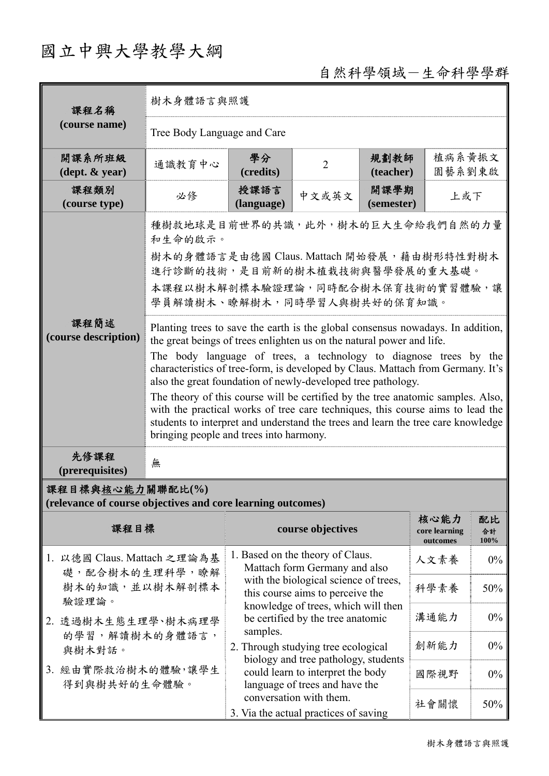## 國立中興大學教學大綱

自然科學領域-生命科學學群

| 課程名稱                                                                            | 樹木身體語言與照護                                                                                                                                                                                                                                                                                                                                                                                                                                                                                                                                             |                                                                                                                                                                                                                                                                                                                                                                                              |                                                                  |                    |                                   |                  |  |  |
|---------------------------------------------------------------------------------|-------------------------------------------------------------------------------------------------------------------------------------------------------------------------------------------------------------------------------------------------------------------------------------------------------------------------------------------------------------------------------------------------------------------------------------------------------------------------------------------------------------------------------------------------------|----------------------------------------------------------------------------------------------------------------------------------------------------------------------------------------------------------------------------------------------------------------------------------------------------------------------------------------------------------------------------------------------|------------------------------------------------------------------|--------------------|-----------------------------------|------------------|--|--|
| (course name)                                                                   | Tree Body Language and Care                                                                                                                                                                                                                                                                                                                                                                                                                                                                                                                           |                                                                                                                                                                                                                                                                                                                                                                                              |                                                                  |                    |                                   |                  |  |  |
| 開課系所班級<br>$(\text{dept.} \& \text{ year})$                                      | 通識教育中心                                                                                                                                                                                                                                                                                                                                                                                                                                                                                                                                                | 學分<br>(credits)                                                                                                                                                                                                                                                                                                                                                                              | $\overline{2}$                                                   | 規劃教師<br>(teacher)  | 植病系黄振文<br>園藝系劉東啟                  |                  |  |  |
| 課程類別<br>(course type)                                                           | 必修                                                                                                                                                                                                                                                                                                                                                                                                                                                                                                                                                    | 授課語言<br>(language)                                                                                                                                                                                                                                                                                                                                                                           | 中文或英文                                                            | 開課學期<br>(semester) | 上或下                               |                  |  |  |
|                                                                                 | 種樹救地球是目前世界的共識,此外,樹木的巨大生命給我們自然的力量<br>和生命的啟示。                                                                                                                                                                                                                                                                                                                                                                                                                                                                                                           |                                                                                                                                                                                                                                                                                                                                                                                              |                                                                  |                    |                                   |                  |  |  |
|                                                                                 | 樹木的身體語言是由德國 Claus. Mattach 開始發展, 藉由樹形特性對樹木<br>進行診斷的技術,是目前新的樹木植栽技術與醫學發展的重大基礎。                                                                                                                                                                                                                                                                                                                                                                                                                                                                          |                                                                                                                                                                                                                                                                                                                                                                                              |                                                                  |                    |                                   |                  |  |  |
|                                                                                 | 本課程以樹木解剖標本驗證理論,同時配合樹木保育技術的實習體驗,讓<br>學員解讀樹木、瞭解樹木,同時學習人與樹共好的保育知識。                                                                                                                                                                                                                                                                                                                                                                                                                                                                                       |                                                                                                                                                                                                                                                                                                                                                                                              |                                                                  |                    |                                   |                  |  |  |
| 課程簡述<br>(course description)                                                    | Planting trees to save the earth is the global consensus nowadays. In addition,<br>the great beings of trees enlighten us on the natural power and life.<br>The body language of trees, a technology to diagnose trees by the<br>characteristics of tree-form, is developed by Claus. Mattach from Germany. It's<br>also the great foundation of newly-developed tree pathology.<br>The theory of this course will be certified by the tree anatomic samples. Also,<br>with the practical works of tree care techniques, this course aims to lead the |                                                                                                                                                                                                                                                                                                                                                                                              |                                                                  |                    |                                   |                  |  |  |
|                                                                                 | students to interpret and understand the trees and learn the tree care knowledge<br>bringing people and trees into harmony.                                                                                                                                                                                                                                                                                                                                                                                                                           |                                                                                                                                                                                                                                                                                                                                                                                              |                                                                  |                    |                                   |                  |  |  |
| 先修課程<br>(prerequisites)                                                         | 無                                                                                                                                                                                                                                                                                                                                                                                                                                                                                                                                                     |                                                                                                                                                                                                                                                                                                                                                                                              |                                                                  |                    |                                   |                  |  |  |
| 課程目標與核心能力關聯配比(%)<br>(relevance of course objectives and core learning outcomes) |                                                                                                                                                                                                                                                                                                                                                                                                                                                                                                                                                       |                                                                                                                                                                                                                                                                                                                                                                                              |                                                                  |                    |                                   |                  |  |  |
| 課程目標                                                                            |                                                                                                                                                                                                                                                                                                                                                                                                                                                                                                                                                       |                                                                                                                                                                                                                                                                                                                                                                                              | course objectives                                                |                    | 核心能力<br>core learning<br>outcomes | 配比<br>合計<br>100% |  |  |
| 1. 以德國 Claus. Mattach 之理論為基<br>礎,配合樹木的生理科學,瞭解<br>樹木的知識,並以樹木解剖標本<br>驗證理論。        |                                                                                                                                                                                                                                                                                                                                                                                                                                                                                                                                                       | 1. Based on the theory of Claus.<br>Mattach form Germany and also<br>with the biological science of trees,<br>this course aims to perceive the<br>knowledge of trees, which will then<br>be certified by the tree anatomic<br>samples.<br>2. Through studying tree ecological<br>biology and tree pathology, students<br>could learn to interpret the body<br>language of trees and have the |                                                                  |                    | 人文素養                              | $0\%$            |  |  |
|                                                                                 |                                                                                                                                                                                                                                                                                                                                                                                                                                                                                                                                                       |                                                                                                                                                                                                                                                                                                                                                                                              |                                                                  |                    | 科學素養                              | 50%              |  |  |
| 2. 透過樹木生態生理學、樹木病理學                                                              |                                                                                                                                                                                                                                                                                                                                                                                                                                                                                                                                                       |                                                                                                                                                                                                                                                                                                                                                                                              |                                                                  |                    | 溝通能力                              | $0\%$            |  |  |
| 的學習,解讀樹木的身體語言,<br>與樹木對話。                                                        |                                                                                                                                                                                                                                                                                                                                                                                                                                                                                                                                                       |                                                                                                                                                                                                                                                                                                                                                                                              |                                                                  |                    | 創新能力                              | $0\%$            |  |  |
| 3. 經由實際救治樹木的體驗,讓學生<br>得到與樹共好的生命體驗。                                              |                                                                                                                                                                                                                                                                                                                                                                                                                                                                                                                                                       |                                                                                                                                                                                                                                                                                                                                                                                              |                                                                  |                    | 國際視野                              | $0\%$            |  |  |
|                                                                                 |                                                                                                                                                                                                                                                                                                                                                                                                                                                                                                                                                       |                                                                                                                                                                                                                                                                                                                                                                                              | conversation with them.<br>3. Via the actual practices of saving |                    |                                   | 50%              |  |  |